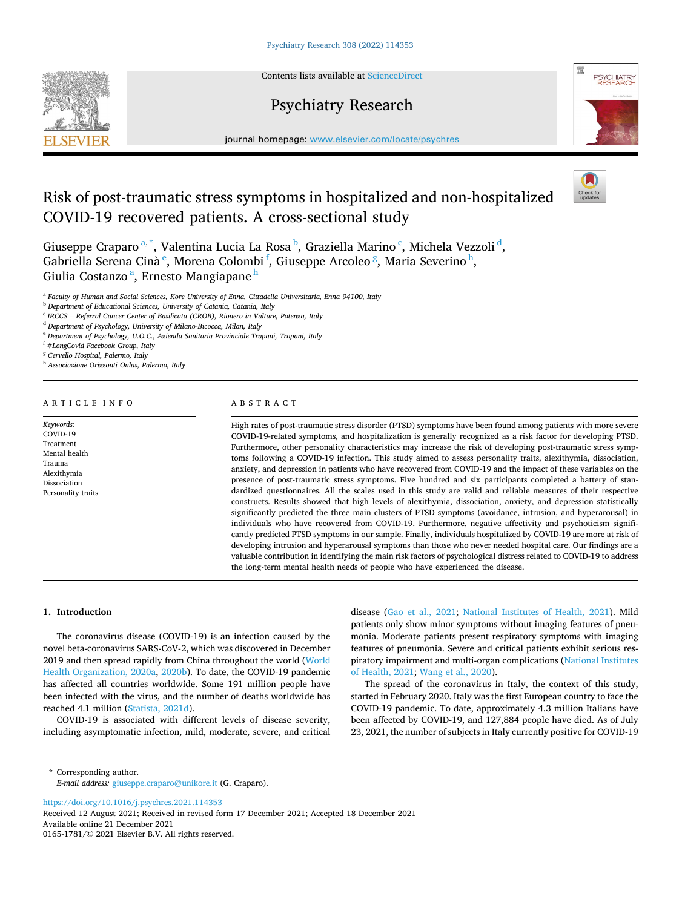**SEVIER** 

Contents lists available at [ScienceDirect](www.sciencedirect.com/science/journal/01651781)

# Psychiatry Research



journal homepage: [www.elsevier.com/locate/psychres](https://www.elsevier.com/locate/psychres)

# Risk of post-traumatic stress symptoms in hospitalized and non-hospitalized COVID-19 recovered patients. A cross-sectional study



Giuseppe Craparo<sup>a,\*</sup>, Valentina Lucia La Rosa<sup>b</sup>, Graziella Marino<sup>c</sup>, Michela Vezzoli<sup>d</sup>, Gabriella Serena Cinà<sup>e</sup>, Morena Colombi<sup>f</sup>, Giuseppe Arcoleo<sup>g</sup>, Maria Severino<sup>h</sup>, Giulia Costanzo <sup>a</sup>, Ernesto Mangiapane <sup>h</sup>

<sup>a</sup> *Faculty of Human and Social Sciences, Kore University of Enna, Cittadella Universitaria, Enna 94100, Italy* 

<sup>b</sup> *Department of Educational Sciences, University of Catania, Catania, Italy* 

<sup>c</sup> *IRCCS* – *Referral Cancer Center of Basilicata (CROB), Rionero in Vulture, Potenza, Italy* 

<sup>d</sup> *Department of Psychology, University of Milano-Bicocca, Milan, Italy* 

<sup>e</sup> *Department of Psychology, U.O.C., Azienda Sanitaria Provinciale Trapani, Trapani, Italy* 

<sup>f</sup> *#LongCovid Facebook Group, Italy* 

<sup>g</sup> *Cervello Hospital, Palermo, Italy* 

<sup>h</sup> *Associazione Orizzonti Onlus, Palermo, Italy* 

#### ARTICLE INFO

*Keywords:*  COVID-19 Treatment Mental health Trauma Alexithymia Dissociation Personality traits

#### ABSTRACT

High rates of post-traumatic stress disorder (PTSD) symptoms have been found among patients with more severe COVID-19-related symptoms, and hospitalization is generally recognized as a risk factor for developing PTSD. Furthermore, other personality characteristics may increase the risk of developing post-traumatic stress symptoms following a COVID-19 infection. This study aimed to assess personality traits, alexithymia, dissociation, anxiety, and depression in patients who have recovered from COVID-19 and the impact of these variables on the presence of post-traumatic stress symptoms. Five hundred and six participants completed a battery of standardized questionnaires. All the scales used in this study are valid and reliable measures of their respective constructs. Results showed that high levels of alexithymia, dissociation, anxiety, and depression statistically significantly predicted the three main clusters of PTSD symptoms (avoidance, intrusion, and hyperarousal) in individuals who have recovered from COVID-19. Furthermore, negative affectivity and psychoticism significantly predicted PTSD symptoms in our sample. Finally, individuals hospitalized by COVID-19 are more at risk of developing intrusion and hyperarousal symptoms than those who never needed hospital care. Our findings are a valuable contribution in identifying the main risk factors of psychological distress related to COVID-19 to address the long-term mental health needs of people who have experienced the disease.

## **1. Introduction**

The coronavirus disease (COVID-19) is an infection caused by the novel beta-coronavirus SARS-CoV-2, which was discovered in December 2019 and then spread rapidly from China throughout the world ([World](#page-7-0)  [Health Organization, 2020a](#page-7-0), [2020b](#page-7-0)). To date, the COVID-19 pandemic has affected all countries worldwide. Some 191 million people have been infected with the virus, and the number of deaths worldwide has reached 4.1 million ([Statista, 2021d\)](#page-7-0).

COVID-19 is associated with different levels of disease severity, including asymptomatic infection, mild, moderate, severe, and critical disease [\(Gao et al., 2021;](#page-6-0) [National Institutes of Health, 2021\)](#page-7-0). Mild patients only show minor symptoms without imaging features of pneumonia. Moderate patients present respiratory symptoms with imaging features of pneumonia. Severe and critical patients exhibit serious respiratory impairment and multi-organ complications ([National Institutes](#page-7-0)  [of Health, 2021](#page-7-0); [Wang et al., 2020](#page-7-0)).

The spread of the coronavirus in Italy, the context of this study, started in February 2020. Italy was the first European country to face the COVID-19 pandemic. To date, approximately 4.3 million Italians have been affected by COVID-19, and 127,884 people have died. As of July 23, 2021, the number of subjects in Italy currently positive for COVID-19

\* Corresponding author. *E-mail address:* [giuseppe.craparo@unikore.it](mailto:giuseppe.craparo@unikore.it) (G. Craparo).

<https://doi.org/10.1016/j.psychres.2021.114353>

Available online 21 December 2021 0165-1781/© 2021 Elsevier B.V. All rights reserved. Received 12 August 2021; Received in revised form 17 December 2021; Accepted 18 December 2021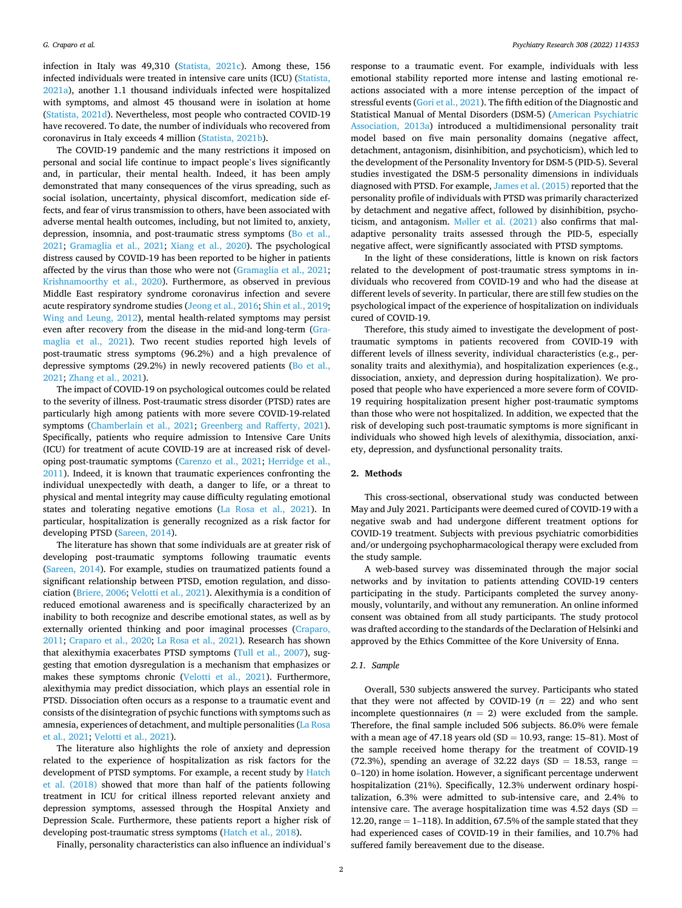infection in Italy was 49,310 ([Statista, 2021c](#page-7-0)). Among these, 156 infected individuals were treated in intensive care units (ICU) [\(Statista,](#page-7-0)  [2021a\)](#page-7-0), another 1.1 thousand individuals infected were hospitalized with symptoms, and almost 45 thousand were in isolation at home ([Statista, 2021d\)](#page-7-0). Nevertheless, most people who contracted COVID-19 have recovered. To date, the number of individuals who recovered from coronavirus in Italy exceeds 4 million [\(Statista, 2021b](#page-7-0)).

The COVID-19 pandemic and the many restrictions it imposed on personal and social life continue to impact people's lives significantly and, in particular, their mental health. Indeed, it has been amply demonstrated that many consequences of the virus spreading, such as social isolation, uncertainty, physical discomfort, medication side effects, and fear of virus transmission to others, have been associated with adverse mental health outcomes, including, but not limited to, anxiety, depression, insomnia, and post-traumatic stress symptoms ([Bo et al.,](#page-6-0)  [2021;](#page-6-0) [Gramaglia et al., 2021;](#page-6-0) [Xiang et al., 2020](#page-7-0)). The psychological distress caused by COVID-19 has been reported to be higher in patients affected by the virus than those who were not ([Gramaglia et al., 2021](#page-6-0); [Krishnamoorthy et al., 2020\)](#page-7-0). Furthermore, as observed in previous Middle East respiratory syndrome coronavirus infection and severe acute respiratory syndrome studies [\(Jeong et al., 2016;](#page-6-0) [Shin et al., 2019](#page-7-0); [Wing and Leung, 2012](#page-7-0)), mental health-related symptoms may persist even after recovery from the disease in the mid-and long-term [\(Gra](#page-6-0)[maglia et al., 2021\)](#page-6-0). Two recent studies reported high levels of post-traumatic stress symptoms (96.2%) and a high prevalence of depressive symptoms (29.2%) in newly recovered patients [\(Bo et al.,](#page-6-0)  [2021;](#page-6-0) [Zhang et al., 2021\)](#page-7-0).

The impact of COVID-19 on psychological outcomes could be related to the severity of illness. Post-traumatic stress disorder (PTSD) rates are particularly high among patients with more severe COVID-19-related symptoms [\(Chamberlain et al., 2021;](#page-6-0) [Greenberg and Rafferty, 2021](#page-6-0)). Specifically, patients who require admission to Intensive Care Units (ICU) for treatment of acute COVID-19 are at increased risk of developing post-traumatic symptoms [\(Carenzo et al., 2021](#page-6-0); [Herridge et al.,](#page-6-0)  [2011\)](#page-6-0). Indeed, it is known that traumatic experiences confronting the individual unexpectedly with death, a danger to life, or a threat to physical and mental integrity may cause difficulty regulating emotional states and tolerating negative emotions ([La Rosa et al., 2021\)](#page-7-0). In particular, hospitalization is generally recognized as a risk factor for developing PTSD [\(Sareen, 2014](#page-7-0)).

The literature has shown that some individuals are at greater risk of developing post-traumatic symptoms following traumatic events ([Sareen, 2014](#page-7-0)). For example, studies on traumatized patients found a significant relationship between PTSD, emotion regulation, and dissociation ([Briere, 2006](#page-6-0); [Velotti et al., 2021](#page-7-0)). Alexithymia is a condition of reduced emotional awareness and is specifically characterized by an inability to both recognize and describe emotional states, as well as by externally oriented thinking and poor imaginal processes [\(Craparo,](#page-6-0)  [2011;](#page-6-0) [Craparo et al., 2020](#page-6-0); [La Rosa et al., 2021\)](#page-7-0). Research has shown that alexithymia exacerbates PTSD symptoms [\(Tull et al., 2007\)](#page-7-0), suggesting that emotion dysregulation is a mechanism that emphasizes or makes these symptoms chronic [\(Velotti et al., 2021](#page-7-0)). Furthermore, alexithymia may predict dissociation, which plays an essential role in PTSD. Dissociation often occurs as a response to a traumatic event and consists of the disintegration of psychic functions with symptoms such as amnesia, experiences of detachment, and multiple personalities [\(La Rosa](#page-7-0)  [et al., 2021; Velotti et al., 2021\)](#page-7-0).

The literature also highlights the role of anxiety and depression related to the experience of hospitalization as risk factors for the development of PTSD symptoms. For example, a recent study by [Hatch](#page-6-0)  [et al. \(2018\)](#page-6-0) showed that more than half of the patients following treatment in ICU for critical illness reported relevant anxiety and depression symptoms, assessed through the Hospital Anxiety and Depression Scale. Furthermore, these patients report a higher risk of developing post-traumatic stress symptoms [\(Hatch et al., 2018\)](#page-6-0).

Finally, personality characteristics can also influence an individual's

response to a traumatic event. For example, individuals with less emotional stability reported more intense and lasting emotional reactions associated with a more intense perception of the impact of stressful events [\(Gori et al., 2021\)](#page-6-0). The fifth edition of the Diagnostic and Statistical Manual of Mental Disorders (DSM-5) [\(American Psychiatric](#page-6-0)  [Association, 2013a](#page-6-0)) introduced a multidimensional personality trait model based on five main personality domains (negative affect, detachment, antagonism, disinhibition, and psychoticism), which led to the development of the Personality Inventory for DSM-5 (PID-5). Several studies investigated the DSM-5 personality dimensions in individuals diagnosed with PTSD. For example, [James et al. \(2015\)](#page-6-0) reported that the personality profile of individuals with PTSD was primarily characterized by detachment and negative affect, followed by disinhibition, psychoticism, and antagonism. Mø[ller et al. \(2021\)](#page-7-0) also confirms that maladaptive personality traits assessed through the PID-5, especially negative affect, were significantly associated with PTSD symptoms.

In the light of these considerations, little is known on risk factors related to the development of post-traumatic stress symptoms in individuals who recovered from COVID-19 and who had the disease at different levels of severity. In particular, there are still few studies on the psychological impact of the experience of hospitalization on individuals cured of COVID-19.

Therefore, this study aimed to investigate the development of posttraumatic symptoms in patients recovered from COVID-19 with different levels of illness severity, individual characteristics (e.g., personality traits and alexithymia), and hospitalization experiences (e.g., dissociation, anxiety, and depression during hospitalization). We proposed that people who have experienced a more severe form of COVID-19 requiring hospitalization present higher post-traumatic symptoms than those who were not hospitalized. In addition, we expected that the risk of developing such post-traumatic symptoms is more significant in individuals who showed high levels of alexithymia, dissociation, anxiety, depression, and dysfunctional personality traits.

## **2. Methods**

This cross-sectional, observational study was conducted between May and July 2021. Participants were deemed cured of COVID-19 with a negative swab and had undergone different treatment options for COVID-19 treatment. Subjects with previous psychiatric comorbidities and/or undergoing psychopharmacological therapy were excluded from the study sample.

A web-based survey was disseminated through the major social networks and by invitation to patients attending COVID-19 centers participating in the study. Participants completed the survey anonymously, voluntarily, and without any remuneration. An online informed consent was obtained from all study participants. The study protocol was drafted according to the standards of the Declaration of Helsinki and approved by the Ethics Committee of the Kore University of Enna.

## *2.1. Sample*

Overall, 530 subjects answered the survey. Participants who stated that they were not affected by COVID-19  $(n = 22)$  and who sent incomplete questionnaires  $(n = 2)$  were excluded from the sample. Therefore, the final sample included 506 subjects. 86.0% were female with a mean age of 47.18 years old  $(SD = 10.93$ , range: 15–81). Most of the sample received home therapy for the treatment of COVID-19 (72.3%), spending an average of 32.22 days (SD = 18.53, range = 0–120) in home isolation. However, a significant percentage underwent hospitalization (21%). Specifically, 12.3% underwent ordinary hospitalization, 6.3% were admitted to sub-intensive care, and 2.4% to intensive care. The average hospitalization time was 4.52 days (SD  $=$ 12.20, range  $= 1-118$ ). In addition, 67.5% of the sample stated that they had experienced cases of COVID-19 in their families, and 10.7% had suffered family bereavement due to the disease.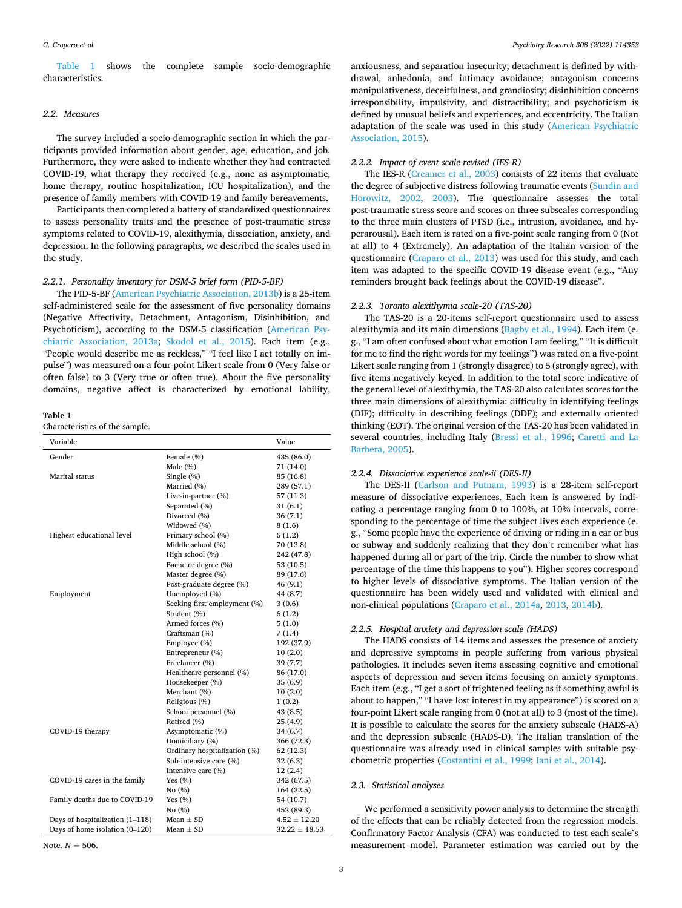Table 1 shows the complete sample socio-demographic characteristics.

#### *2.2. Measures*

The survey included a socio-demographic section in which the participants provided information about gender, age, education, and job. Furthermore, they were asked to indicate whether they had contracted COVID-19, what therapy they received (e.g., none as asymptomatic, home therapy, routine hospitalization, ICU hospitalization), and the presence of family members with COVID-19 and family bereavements.

Participants then completed a battery of standardized questionnaires to assess personality traits and the presence of post-traumatic stress symptoms related to COVID-19, alexithymia, dissociation, anxiety, and depression. In the following paragraphs, we described the scales used in the study.

## *2.2.1. Personality inventory for DSM-5 brief form (PID-5-BF)*

The PID-5-BF ([American Psychiatric Association, 2013b](#page-6-0)) is a 25-item self-administered scale for the assessment of five personality domains (Negative Affectivity, Detachment, Antagonism, Disinhibition, and Psychoticism), according to the DSM-5 classification [\(American Psy](#page-6-0)[chiatric Association, 2013a](#page-6-0); [Skodol et al., 2015\)](#page-7-0). Each item (e.g., "People would describe me as reckless," "I feel like I act totally on impulse") was measured on a four-point Likert scale from 0 (Very false or often false) to 3 (Very true or often true). About the five personality domains, negative affect is characterized by emotional lability,

#### **Table 1**

Characteristics of the sample.

| Variable                          |                              | Value             |
|-----------------------------------|------------------------------|-------------------|
| Gender                            | Female (%)                   | 435 (86.0)        |
|                                   | Male (%)                     | 71 (14.0)         |
| Marital status                    | Single $(\%)$                | 85 (16.8)         |
|                                   | Married (%)                  | 289 (57.1)        |
|                                   | Live-in-partner (%)          | 57 (11.3)         |
|                                   | Separated (%)                | 31(6.1)           |
|                                   | Divorced (%)                 | 36(7.1)           |
|                                   | Widowed (%)                  | 8(1.6)            |
| Highest educational level         | Primary school (%)           | 6(1.2)            |
|                                   | Middle school (%)            | 70 (13.8)         |
|                                   | High school (%)              | 242 (47.8)        |
|                                   | Bachelor degree (%)          | 53 (10.5)         |
|                                   | Master degree (%)            | 89 (17.6)         |
|                                   | Post-graduate degree (%)     | 46 (9.1)          |
| Employment                        | Unemployed (%)               | 44 (8.7)          |
|                                   | Seeking first employment (%) | 3(0.6)            |
|                                   | Student (%)                  | 6(1.2)            |
|                                   | Armed forces (%)             | 5(1.0)            |
|                                   | Craftsman (%)                | 7(1.4)            |
|                                   | Employee (%)                 | 192 (37.9)        |
|                                   | Entrepreneur (%)             | 10(2.0)           |
|                                   | Freelancer (%)               | 39 (7.7)          |
|                                   | Healthcare personnel (%)     | 86 (17.0)         |
|                                   | Housekeeper (%)              | 35(6.9)           |
|                                   | Merchant (%)                 | 10(2.0)           |
|                                   | Religious (%)                | 1(0.2)            |
|                                   | School personnel (%)         | 43 (8.5)          |
|                                   | Retired (%)                  | 25(4.9)           |
| COVID-19 therapy                  | Asymptomatic (%)             | 34 (6.7)          |
|                                   | Domiciliary (%)              | 366 (72.3)        |
|                                   | Ordinary hospitalization (%) | 62 (12.3)         |
|                                   | Sub-intensive care (%)       | 32(6.3)           |
|                                   | Intensive care (%)           | 12(2.4)           |
| COVID-19 cases in the family      | Yes $(\% )$                  | 342 (67.5)        |
|                                   | No (%)                       | 164 (32.5)        |
| Family deaths due to COVID-19     | Yes $(\% )$                  | 54 (10.7)         |
|                                   | No (%)                       | 452 (89.3)        |
| Days of hospitalization $(1-118)$ | Mean $\pm$ SD                | $4.52 \pm 12.20$  |
| Days of home isolation (0-120)    | Mean $\pm$ SD                | $32.22 \pm 18.53$ |

Note.  $N = 506$ .

anxiousness, and separation insecurity; detachment is defined by withdrawal, anhedonia, and intimacy avoidance; antagonism concerns manipulativeness, deceitfulness, and grandiosity; disinhibition concerns irresponsibility, impulsivity, and distractibility; and psychoticism is defined by unusual beliefs and experiences, and eccentricity. The Italian adaptation of the scale was used in this study ([American Psychiatric](#page-6-0)  [Association, 2015](#page-6-0)).

## *2.2.2. Impact of event scale-revised (IES-R)*

The IES-R [\(Creamer et al., 2003\)](#page-6-0) consists of 22 items that evaluate the degree of subjective distress following traumatic events [\(Sundin and](#page-7-0)  [Horowitz, 2002,](#page-7-0) [2003\)](#page-7-0). The questionnaire assesses the total post-traumatic stress score and scores on three subscales corresponding to the three main clusters of PTSD (i.e., intrusion, avoidance, and hyperarousal). Each item is rated on a five-point scale ranging from 0 (Not at all) to 4 (Extremely). An adaptation of the Italian version of the questionnaire [\(Craparo et al., 2013](#page-6-0)) was used for this study, and each item was adapted to the specific COVID-19 disease event (e.g., "Any reminders brought back feelings about the COVID-19 disease".

## *2.2.3. Toronto alexithymia scale-20 (TAS-20)*

The TAS-20 is a 20-items self-report questionnaire used to assess alexithymia and its main dimensions ([Bagby et al., 1994](#page-6-0)). Each item (e. g., "I am often confused about what emotion I am feeling," "It is difficult for me to find the right words for my feelings") was rated on a five-point Likert scale ranging from 1 (strongly disagree) to 5 (strongly agree), with five items negatively keyed. In addition to the total score indicative of the general level of alexithymia, the TAS-20 also calculates scores for the three main dimensions of alexithymia: difficulty in identifying feelings (DIF); difficulty in describing feelings (DDF); and externally oriented thinking (EOT). The original version of the TAS-20 has been validated in several countries, including Italy ([Bressi et al., 1996](#page-6-0); [Caretti and La](#page-6-0)  [Barbera, 2005\)](#page-6-0).

#### *2.2.4. Dissociative experience scale-ii (DES-II)*

The DES-II [\(Carlson and Putnam, 1993\)](#page-6-0) is a 28-item self-report measure of dissociative experiences. Each item is answered by indicating a percentage ranging from 0 to 100%, at 10% intervals, corresponding to the percentage of time the subject lives each experience (e. g., "Some people have the experience of driving or riding in a car or bus or subway and suddenly realizing that they don't remember what has happened during all or part of the trip. Circle the number to show what percentage of the time this happens to you"). Higher scores correspond to higher levels of dissociative symptoms. The Italian version of the questionnaire has been widely used and validated with clinical and non-clinical populations [\(Craparo et al., 2014a](#page-6-0), [2013, 2014b\)](#page-6-0).

## *2.2.5. Hospital anxiety and depression scale (HADS)*

The HADS consists of 14 items and assesses the presence of anxiety and depressive symptoms in people suffering from various physical pathologies. It includes seven items assessing cognitive and emotional aspects of depression and seven items focusing on anxiety symptoms. Each item (e.g., "I get a sort of frightened feeling as if something awful is about to happen," "I have lost interest in my appearance") is scored on a four-point Likert scale ranging from 0 (not at all) to 3 (most of the time). It is possible to calculate the scores for the anxiety subscale (HADS-A) and the depression subscale (HADS-D). The Italian translation of the questionnaire was already used in clinical samples with suitable psychometric properties [\(Costantini et al., 1999; Iani et al., 2014\)](#page-6-0).

#### *2.3. Statistical analyses*

We performed a sensitivity power analysis to determine the strength of the effects that can be reliably detected from the regression models. Confirmatory Factor Analysis (CFA) was conducted to test each scale's measurement model. Parameter estimation was carried out by the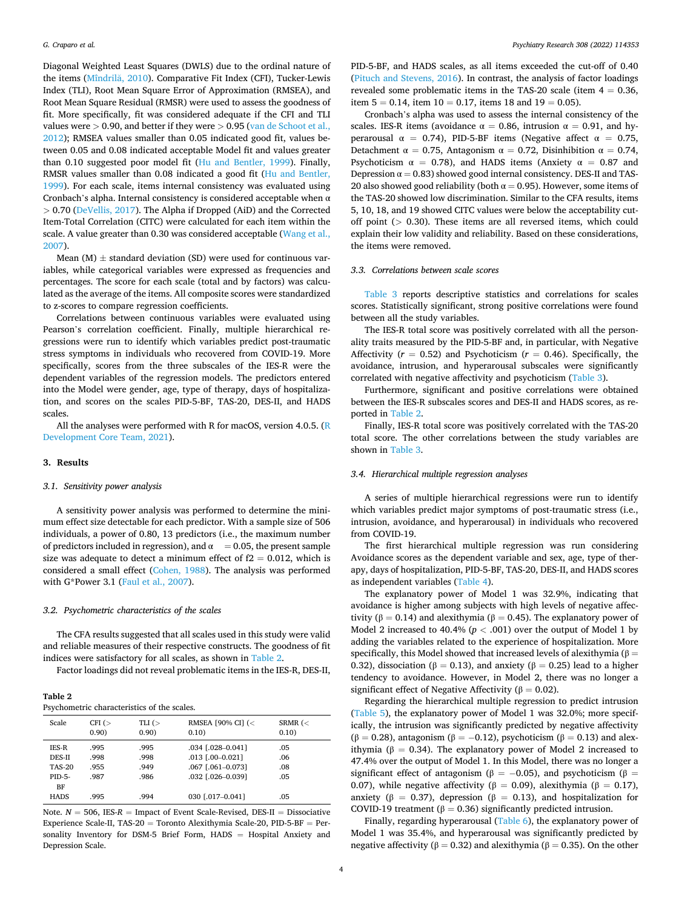Diagonal Weighted Least Squares (DWLS) due to the ordinal nature of the items (Mîndrilă, 2010). Comparative Fit Index (CFI), Tucker-Lewis Index (TLI), Root Mean Square Error of Approximation (RMSEA), and Root Mean Square Residual (RMSR) were used to assess the goodness of fit. More specifically, fit was considered adequate if the CFI and TLI values were *>* 0.90, and better if they were *>* 0.95 [\(van de Schoot et al.,](#page-7-0)  [2012\)](#page-7-0); RMSEA values smaller than 0.05 indicated good fit, values between 0.05 and 0.08 indicated acceptable Model fit and values greater than 0.10 suggested poor model fit ([Hu and Bentler, 1999](#page-6-0)). Finally, RMSR values smaller than 0.08 indicated a good fit [\(Hu and Bentler,](#page-6-0)  [1999\)](#page-6-0). For each scale, items internal consistency was evaluated using Cronbach's alpha. Internal consistency is considered acceptable when  $\alpha$ *>* 0.70 ([DeVellis, 2017](#page-6-0)). The Alpha if Dropped (AiD) and the Corrected Item-Total Correlation (CITC) were calculated for each item within the scale. A value greater than 0.30 was considered acceptable [\(Wang et al.,](#page-7-0)  [2007\)](#page-7-0).

Mean (M)  $\pm$  standard deviation (SD) were used for continuous variables, while categorical variables were expressed as frequencies and percentages. The score for each scale (total and by factors) was calculated as the average of the items. All composite scores were standardized to z-scores to compare regression coefficients.

Correlations between continuous variables were evaluated using Pearson's correlation coefficient. Finally, multiple hierarchical regressions were run to identify which variables predict post-traumatic stress symptoms in individuals who recovered from COVID-19. More specifically, scores from the three subscales of the IES-R were the dependent variables of the regression models. The predictors entered into the Model were gender, age, type of therapy, days of hospitalization, and scores on the scales PID-5-BF, TAS-20, DES-II, and HADS scales.

All the analyses were performed with R for macOS, version 4.0.5. ([R](#page-7-0)  [Development Core Team, 2021](#page-7-0)).

## **3. Results**

#### *3.1. Sensitivity power analysis*

A sensitivity power analysis was performed to determine the minimum effect size detectable for each predictor. With a sample size of 506 individuals, a power of 0.80, 13 predictors (i.e., the maximum number of predictors included in regression), and  $\alpha = 0.05$ , the present sample size was adequate to detect a minimum effect of  $f2 = 0.012$ , which is considered a small effect ([Cohen, 1988](#page-6-0)). The analysis was performed with G\*Power 3.1 ([Faul et al., 2007\)](#page-6-0).

## *3.2. Psychometric characteristics of the scales*

The CFA results suggested that all scales used in this study were valid and reliable measures of their respective constructs. The goodness of fit indices were satisfactory for all scales, as shown in Table 2.

Factor loadings did not reveal problematic items in the IES-R, DES-II,

| Table 2 |                                             |  |
|---------|---------------------------------------------|--|
|         | Psychometric characteristics of the scales. |  |

| <b>Scale</b>  | CFI $($<br>0.90) | TLI $($<br>0.90) | RMSEA [90% CI] (<<br>0.10) | SRMR $(<$<br>0.10 |
|---------------|------------------|------------------|----------------------------|-------------------|
| <b>IES-R</b>  | .995             | .995             | $.034$ $[.028 - 0.041]$    | .05               |
| DES-II        | .998             | .998             | .013 [.00-0.021]           | .06               |
| <b>TAS-20</b> | .955             | .949             | .067 [.061-0.073]          | .08               |
| PID-5-        | .987             | .986             | .032 [.026-0.039]          | .05               |
| BF            |                  |                  |                            |                   |
| <b>HADS</b>   | .995             | .994             | 030 [.017-0.041]           | .05               |

Note.  $N = 506$ , IES- $R =$  Impact of Event Scale-Revised, DES-II = Dissociative Experience Scale-II, TAS-20 = Toronto Alexithymia Scale-20, PID-5-BF = Personality Inventory for DSM-5 Brief Form, HADS = Hospital Anxiety and Depression Scale.

PID-5-BF, and HADS scales, as all items exceeded the cut-off of 0.40 ([Pituch and Stevens, 2016\)](#page-7-0). In contrast, the analysis of factor loadings revealed some problematic items in the TAS-20 scale (item  $4 = 0.36$ , item  $5 = 0.14$ , item  $10 = 0.17$ , items 18 and  $19 = 0.05$ ).

Cronbach's alpha was used to assess the internal consistency of the scales. IES-R items (avoidance  $\alpha = 0.86$ , intrusion  $\alpha = 0.91$ , and hyperarousal  $\alpha = 0.74$ ), PID-5-BF items (Negative affect  $\alpha = 0.75$ , Detachment  $\alpha = 0.75$ , Antagonism  $\alpha = 0.72$ , Disinhibition  $\alpha = 0.74$ , Psychoticism  $\alpha = 0.78$ ), and HADS items (Anxiety  $\alpha = 0.87$  and Depression  $\alpha = 0.83$ ) showed good internal consistency. DES-II and TAS-20 also showed good reliability (both  $\alpha = 0.95$ ). However, some items of the TAS-20 showed low discrimination. Similar to the CFA results, items 5, 10, 18, and 19 showed CITC values were below the acceptability cutoff point (*>* 0.30). These items are all reversed items, which could explain their low validity and reliability. Based on these considerations, the items were removed.

## *3.3. Correlations between scale scores*

[Table 3](#page-4-0) reports descriptive statistics and correlations for scales scores. Statistically significant, strong positive correlations were found between all the study variables.

The IES-R total score was positively correlated with all the personality traits measured by the PID-5-BF and, in particular, with Negative Affectivity ( $r = 0.52$ ) and Psychoticism ( $r = 0.46$ ). Specifically, the avoidance, intrusion, and hyperarousal subscales were significantly correlated with negative affectivity and psychoticism ([Table 3](#page-4-0)).

Furthermore, significant and positive correlations were obtained between the IES-R subscales scores and DES-II and HADS scores, as reported in Table 2.

Finally, IES-R total score was positively correlated with the TAS-20 total score. The other correlations between the study variables are shown in [Table 3.](#page-4-0)

## *3.4. Hierarchical multiple regression analyses*

A series of multiple hierarchical regressions were run to identify which variables predict major symptoms of post-traumatic stress (i.e., intrusion, avoidance, and hyperarousal) in individuals who recovered from COVID-19.

The first hierarchical multiple regression was run considering Avoidance scores as the dependent variable and sex, age, type of therapy, days of hospitalization, PID-5-BF, TAS-20, DES-II, and HADS scores as independent variables ([Table 4\)](#page-4-0).

The explanatory power of Model 1 was 32.9%, indicating that avoidance is higher among subjects with high levels of negative affectivity ( $β = 0.14$ ) and alexithymia ( $β = 0.45$ ). The explanatory power of Model 2 increased to 40.4% (*p <* .001) over the output of Model 1 by adding the variables related to the experience of hospitalization. More specifically, this Model showed that increased levels of alexithymia ( $\beta =$ 0.32), dissociation (β = 0.13), and anxiety (β = 0.25) lead to a higher tendency to avoidance. However, in Model 2, there was no longer a significant effect of Negative Affectivity ( $\beta = 0.02$ ).

Regarding the hierarchical multiple regression to predict intrusion ([Table 5](#page-4-0)), the explanatory power of Model 1 was 32.0%; more specifically, the intrusion was significantly predicted by negative affectivity ( $\beta$  = 0.28), antagonism ( $\beta$  = -0.12), psychoticism ( $\beta$  = 0.13) and alexithymia ( $β = 0.34$ ). The explanatory power of Model 2 increased to 47.4% over the output of Model 1. In this Model, there was no longer a significant effect of antagonism ( $\beta = -0.05$ ), and psychoticism ( $\beta =$ 0.07), while negative affectivity ( $β = 0.09$ ), alexithymia ( $β = 0.17$ ), anxiety (β = 0.37), depression (β = 0.13), and hospitalization for COVID-19 treatment ( $\beta = 0.36$ ) significantly predicted intrusion.

Finally, regarding hyperarousal ([Table 6](#page-5-0)), the explanatory power of Model 1 was 35.4%, and hyperarousal was significantly predicted by negative affectivity ( $β = 0.32$ ) and alexithymia ( $β = 0.35$ ). On the other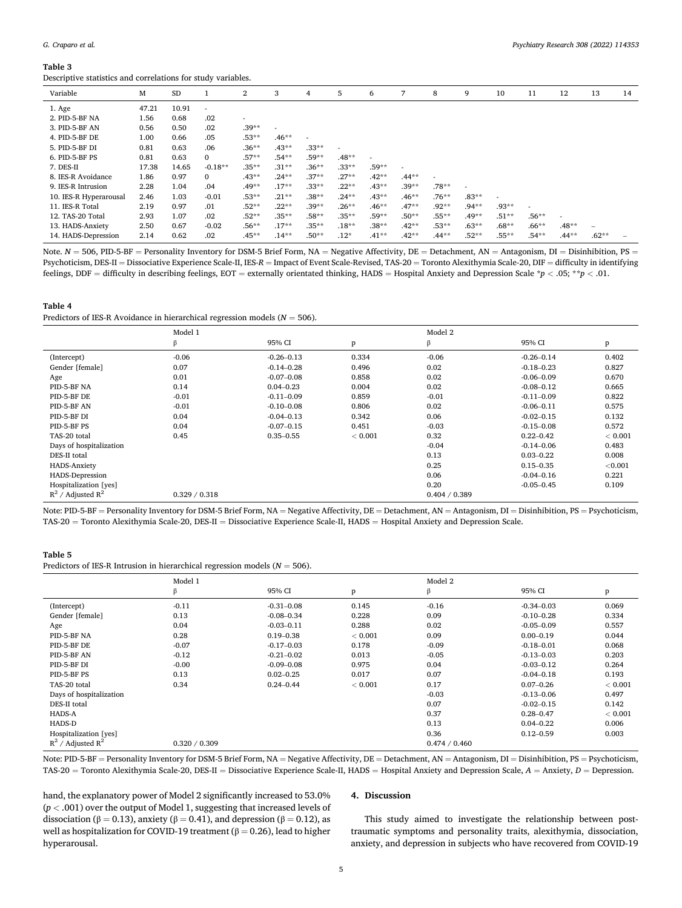#### <span id="page-4-0"></span>**Table 3**

Descriptive statistics and correlations for study variables.

| Variable               | M     | <b>SD</b> |              | 2        | 3       | 4       | 5        | 6        |         | 8        | 9        | 10      | 11       | 12       | 13                       | 14 |
|------------------------|-------|-----------|--------------|----------|---------|---------|----------|----------|---------|----------|----------|---------|----------|----------|--------------------------|----|
| 1. Age                 | 47.21 | 10.91     | $\sim$       |          |         |         |          |          |         |          |          |         |          |          |                          |    |
| 2. PID-5-BF NA         | 1.56  | 0.68      | .02          |          |         |         |          |          |         |          |          |         |          |          |                          |    |
| 3. PID-5-BF AN         | 0.56  | 0.50      | .02          | $.39**$  |         |         |          |          |         |          |          |         |          |          |                          |    |
| 4. PID-5-BF DE         | 1.00  | 0.66      | .05          | $.53**$  | $.46**$ |         |          |          |         |          |          |         |          |          |                          |    |
| 5. PID-5-BF DI         | 0.81  | 0.63      | .06          | $.36**$  | $.43**$ | $.33**$ |          |          |         |          |          |         |          |          |                          |    |
| 6. PID-5-BF PS         | 0.81  | 0.63      | $\mathbf{0}$ | $.57**$  | $.54**$ | .59**   | $.48**$  |          |         |          |          |         |          |          |                          |    |
| 7. DES-II              | 17.38 | 14.65     | $-0.18**$    | $.35***$ | $.31**$ | $.36**$ | $.33**$  | $.59**$  |         |          |          |         |          |          |                          |    |
| 8. IES-R Avoidance     | 1.86  | 0.97      | $\mathbf{0}$ | $.43**$  | $.24**$ | $.37**$ | $.27**$  | $.42**$  | $.44**$ |          |          |         |          |          |                          |    |
| 9. IES-R Intrusion     | 2.28  | 1.04      | .04          | $.49**$  | $.17**$ | $.33**$ | $.22**$  | $.43**$  | $.39**$ | $.78**$  |          |         |          |          |                          |    |
| 10. IES-R Hyperarousal | 2.46  | 1.03      | $-0.01$      | $.53**$  | $.21**$ | $.38**$ | $.24**$  | $.43**$  | $.46**$ | $.76**$  | $.83**$  |         |          |          |                          |    |
| 11. IES-R Total        | 2.19  | 0.97      | .01          | $.52**$  | $.22**$ | $.39**$ | $.26**$  | $.46***$ | $.47**$ | $.92**$  | $.94***$ | $.93**$ |          |          |                          |    |
| 12. TAS-20 Total       | 2.93  | 1.07      | .02          | $.52**$  | $.35**$ | $.58**$ | $.35**$  | $.59**$  | $.50**$ | $.55***$ | $.49**$  | $.51**$ | $.56***$ |          |                          |    |
| 13. HADS-Anxiety       | 2.50  | 0.67      | $-0.02$      | $.56**$  | $.17**$ | $.35**$ | $.18***$ | $.38**$  | $.42**$ | $.53**$  | $.63**$  | $.68**$ | $.66***$ | $.48**$  | $\overline{\phantom{a}}$ |    |
| 14. HADS-Depression    | 2.14  | 0.62      | .02          | $.45***$ | $.14**$ | $.50**$ | $.12*$   | $.41**$  | $.42**$ | $.44**$  | $.52**$  | $.55**$ | $.54**$  | $.44***$ | $.62**$                  |    |

Note.  $N = 506$ , PID-5-BF = Personality Inventory for DSM-5 Brief Form, NA = Negative Affectivity, DE = Detachment, AN = Antagonism, DI = Disinhibition, PS = Psychoticism, DES-II = Dissociative Experience Scale-II, IES-*R* = Impact of Event Scale-Revised, TAS-20 = Toronto Alexithymia Scale-20, DIF = difficulty in identifying feelings, DDF = difficulty in describing feelings, EOT = externally orientated thinking, HADS = Hospital Anxiety and Depression Scale \**p <* .05; \*\**p <* .01.

#### **Table 4**

Predictors of IES-R Avoidance in hierarchical regression models (*N* = 506).

|                         | Model 1       |                |         | Model 2       |                |         |
|-------------------------|---------------|----------------|---------|---------------|----------------|---------|
|                         | β             | 95% CI         | p       | β             | 95% CI         | p       |
| (Intercept)             | $-0.06$       | $-0.26 - 0.13$ | 0.334   | $-0.06$       | $-0.26 - 0.14$ | 0.402   |
| Gender [female]         | 0.07          | $-0.14 - 0.28$ | 0.496   | 0.02          | $-0.18 - 0.23$ | 0.827   |
| Age                     | 0.01          | $-0.07 - 0.08$ | 0.858   | 0.02          | $-0.06 - 0.09$ | 0.670   |
| PID-5-BF NA             | 0.14          | $0.04 - 0.23$  | 0.004   | 0.02          | $-0.08 - 0.12$ | 0.665   |
| PID-5-BF DE             | $-0.01$       | $-0.11 - 0.09$ | 0.859   | $-0.01$       | $-0.11 - 0.09$ | 0.822   |
| PID-5-BF AN             | $-0.01$       | $-0.10 - 0.08$ | 0.806   | 0.02          | $-0.06 - 0.11$ | 0.575   |
| PID-5-BF DI             | 0.04          | $-0.04 - 0.13$ | 0.342   | 0.06          | $-0.02 - 0.15$ | 0.132   |
| PID-5-BF PS             | 0.04          | $-0.07 - 0.15$ | 0.451   | $-0.03$       | $-0.15 - 0.08$ | 0.572   |
| TAS-20 total            | 0.45          | $0.35 - 0.55$  | < 0.001 | 0.32          | $0.22 - 0.42$  | < 0.001 |
| Days of hospitalization |               |                |         | $-0.04$       | $-0.14 - 0.06$ | 0.483   |
| DES-II total            |               |                |         | 0.13          | $0.03 - 0.22$  | 0.008   |
| <b>HADS-Anxiety</b>     |               |                |         | 0.25          | $0.15 - 0.35$  | < 0.001 |
| HADS-Depression         |               |                |         | 0.06          | $-0.04 - 0.16$ | 0.221   |
| Hospitalization [yes]   |               |                |         | 0.20          | $-0.05 - 0.45$ | 0.109   |
| $R^2$ / Adjusted $R^2$  | 0.329 / 0.318 |                |         | 0.404 / 0.389 |                |         |

Note: PID-5-BF = Personality Inventory for DSM-5 Brief Form, NA = Negative Affectivity, DE = Detachment, AN = Antagonism, DI = Disinhibition, PS = Psychoticism, TAS-20 = Toronto Alexithymia Scale-20, DES-II = Dissociative Experience Scale-II, HADS = Hospital Anxiety and Depression Scale.

#### **Table 5**

Predictors of IES-R Intrusion in hierarchical regression models (*N* = 506).

|                         | Model 1       |                |         | Model 2       |                |         |
|-------------------------|---------------|----------------|---------|---------------|----------------|---------|
|                         | β             | 95% CI         | p       | β             | 95% CI         | p       |
| (Intercept)             | $-0.11$       | $-0.31 - 0.08$ | 0.145   | $-0.16$       | $-0.34 - 0.03$ | 0.069   |
| Gender [female]         | 0.13          | $-0.08 - 0.34$ | 0.228   | 0.09          | $-0.10 - 0.28$ | 0.334   |
| Age                     | 0.04          | $-0.03 - 0.11$ | 0.288   | 0.02          | $-0.05 - 0.09$ | 0.557   |
| PID-5-BF NA             | 0.28          | $0.19 - 0.38$  | < 0.001 | 0.09          | $0.00 - 0.19$  | 0.044   |
| PID-5-BF DE             | $-0.07$       | $-0.17 - 0.03$ | 0.178   | $-0.09$       | $-0.18 - 0.01$ | 0.068   |
| PID-5-BF AN             | $-0.12$       | $-0.21 - 0.02$ | 0.013   | $-0.05$       | $-0.13 - 0.03$ | 0.203   |
| PID-5-BF DI             | $-0.00$       | $-0.09 - 0.08$ | 0.975   | 0.04          | $-0.03 - 0.12$ | 0.264   |
| PID-5-BF PS             | 0.13          | $0.02 - 0.25$  | 0.017   | 0.07          | $-0.04 - 0.18$ | 0.193   |
| TAS-20 total            | 0.34          | $0.24 - 0.44$  | < 0.001 | 0.17          | $0.07 - 0.26$  | < 0.001 |
| Days of hospitalization |               |                |         | $-0.03$       | $-0.13 - 0.06$ | 0.497   |
| DES-II total            |               |                |         | 0.07          | $-0.02 - 0.15$ | 0.142   |
| HADS-A                  |               |                |         | 0.37          | $0.28 - 0.47$  | < 0.001 |
| HADS-D                  |               |                |         | 0.13          | $0.04 - 0.22$  | 0.006   |
| Hospitalization [yes]   |               |                |         | 0.36          | $0.12 - 0.59$  | 0.003   |
| $R^2$ / Adjusted $R^2$  | 0.320 / 0.309 |                |         | 0.474 / 0.460 |                |         |

Note: PID-5-BF = Personality Inventory for DSM-5 Brief Form, NA = Negative Affectivity, DE = Detachment, AN = Antagonism, DI = Disinhibition, PS = Psychoticism, TAS-20 = Toronto Alexithymia Scale-20, DES-II = Dissociative Experience Scale-II, HADS = Hospital Anxiety and Depression Scale, *A* = Anxiety, *D* = Depression.

hand, the explanatory power of Model 2 significantly increased to 53.0% (*p <* .001) over the output of Model 1, suggesting that increased levels of dissociation (β = 0.13), anxiety (β = 0.41), and depression (β = 0.12), as well as hospitalization for COVID-19 treatment ( $β = 0.26$ ), lead to higher hyperarousal.

## **4. Discussion**

This study aimed to investigate the relationship between posttraumatic symptoms and personality traits, alexithymia, dissociation, anxiety, and depression in subjects who have recovered from COVID-19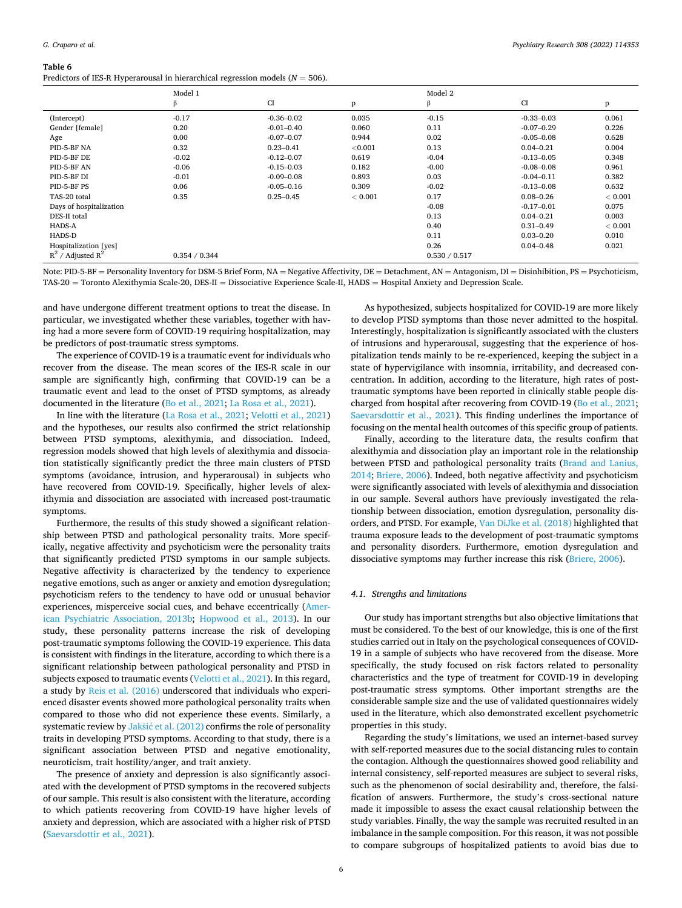<span id="page-5-0"></span>**Table 6** 

| rapie o                                                                           |  |  |  |
|-----------------------------------------------------------------------------------|--|--|--|
| Predictors of IES-R Hyperarousal in hierarchical regression models ( $N = 506$ ). |  |  |  |

|                         | Model 1       |                |         | Model 2       |                |         |
|-------------------------|---------------|----------------|---------|---------------|----------------|---------|
|                         | β             | CI             | p       | β             | CI             | p       |
| (Intercept)             | $-0.17$       | $-0.36 - 0.02$ | 0.035   | $-0.15$       | $-0.33 - 0.03$ | 0.061   |
| Gender [female]         | 0.20          | $-0.01 - 0.40$ | 0.060   | 0.11          | $-0.07 - 0.29$ | 0.226   |
| Age                     | 0.00          | $-0.07 - 0.07$ | 0.944   | 0.02          | $-0.05 - 0.08$ | 0.628   |
| PID-5-BF NA             | 0.32          | $0.23 - 0.41$  | < 0.001 | 0.13          | $0.04 - 0.21$  | 0.004   |
| PID-5-BF DE             | $-0.02$       | $-0.12 - 0.07$ | 0.619   | $-0.04$       | $-0.13 - 0.05$ | 0.348   |
| PID-5-BF AN             | $-0.06$       | $-0.15 - 0.03$ | 0.182   | $-0.00$       | $-0.08 - 0.08$ | 0.961   |
| PID-5-BF DI             | $-0.01$       | $-0.09 - 0.08$ | 0.893   | 0.03          | $-0.04 - 0.11$ | 0.382   |
| PID-5-BF PS             | 0.06          | $-0.05 - 0.16$ | 0.309   | $-0.02$       | $-0.13 - 0.08$ | 0.632   |
| TAS-20 total            | 0.35          | $0.25 - 0.45$  | < 0.001 | 0.17          | $0.08 - 0.26$  | < 0.001 |
| Days of hospitalization |               |                |         | $-0.08$       | $-0.17 - 0.01$ | 0.075   |
| DES-II total            |               |                |         | 0.13          | $0.04 - 0.21$  | 0.003   |
| HADS-A                  |               |                |         | 0.40          | $0.31 - 0.49$  | < 0.001 |
| HADS-D                  |               |                |         | 0.11          | $0.03 - 0.20$  | 0.010   |
| Hospitalization [yes]   |               |                |         | 0.26          | $0.04 - 0.48$  | 0.021   |
| $R^2$ / Adjusted $R^2$  | 0.354 / 0.344 |                |         | 0.530 / 0.517 |                |         |

Note: PID-5-BF = Personality Inventory for DSM-5 Brief Form, NA = Negative Affectivity, DE = Detachment, AN = Antagonism, DI = Disinhibition, PS = Psychoticism, TAS-20 = Toronto Alexithymia Scale-20, DES-II = Dissociative Experience Scale-II, HADS = Hospital Anxiety and Depression Scale.

and have undergone different treatment options to treat the disease. In particular, we investigated whether these variables, together with having had a more severe form of COVID-19 requiring hospitalization, may be predictors of post-traumatic stress symptoms.

The experience of COVID-19 is a traumatic event for individuals who recover from the disease. The mean scores of the IES-R scale in our sample are significantly high, confirming that COVID-19 can be a traumatic event and lead to the onset of PTSD symptoms, as already documented in the literature ([Bo et al., 2021](#page-6-0); [La Rosa et al., 2021\)](#page-7-0).

In line with the literature ([La Rosa et al., 2021; Velotti et al., 2021\)](#page-7-0) and the hypotheses, our results also confirmed the strict relationship between PTSD symptoms, alexithymia, and dissociation. Indeed, regression models showed that high levels of alexithymia and dissociation statistically significantly predict the three main clusters of PTSD symptoms (avoidance, intrusion, and hyperarousal) in subjects who have recovered from COVID-19. Specifically, higher levels of alexithymia and dissociation are associated with increased post-traumatic symptoms.

Furthermore, the results of this study showed a significant relationship between PTSD and pathological personality traits. More specifically, negative affectivity and psychoticism were the personality traits that significantly predicted PTSD symptoms in our sample subjects. Negative affectivity is characterized by the tendency to experience negative emotions, such as anger or anxiety and emotion dysregulation; psychoticism refers to the tendency to have odd or unusual behavior experiences, misperceive social cues, and behave eccentrically ([Amer](#page-6-0)[ican Psychiatric Association, 2013b](#page-6-0); [Hopwood et al., 2013](#page-6-0)). In our study, these personality patterns increase the risk of developing post-traumatic symptoms following the COVID-19 experience. This data is consistent with findings in the literature, according to which there is a significant relationship between pathological personality and PTSD in subjects exposed to traumatic events ([Velotti et al., 2021](#page-7-0)). In this regard, a study by [Reis et al. \(2016\)](#page-7-0) underscored that individuals who experienced disaster events showed more pathological personality traits when compared to those who did not experience these events. Similarly, a systematic review by Jakšić et al.  $(2012)$  confirms the role of personality traits in developing PTSD symptoms. According to that study, there is a significant association between PTSD and negative emotionality, neuroticism, trait hostility/anger, and trait anxiety.

The presence of anxiety and depression is also significantly associated with the development of PTSD symptoms in the recovered subjects of our sample. This result is also consistent with the literature, according to which patients recovering from COVID-19 have higher levels of anxiety and depression, which are associated with a higher risk of PTSD ([Saevarsdottir et al., 2021\)](#page-7-0).

As hypothesized, subjects hospitalized for COVID-19 are more likely to develop PTSD symptoms than those never admitted to the hospital. Interestingly, hospitalization is significantly associated with the clusters of intrusions and hyperarousal, suggesting that the experience of hospitalization tends mainly to be re-experienced, keeping the subject in a state of hypervigilance with insomnia, irritability, and decreased concentration. In addition, according to the literature, high rates of posttraumatic symptoms have been reported in clinically stable people discharged from hospital after recovering from COVID-19 [\(Bo et al., 2021](#page-6-0); [Saevarsdottir et al., 2021](#page-7-0)). This finding underlines the importance of focusing on the mental health outcomes of this specific group of patients.

Finally, according to the literature data, the results confirm that alexithymia and dissociation play an important role in the relationship between PTSD and pathological personality traits ([Brand and Lanius,](#page-6-0)  [2014; Briere, 2006\)](#page-6-0). Indeed, both negative affectivity and psychoticism were significantly associated with levels of alexithymia and dissociation in our sample. Several authors have previously investigated the relationship between dissociation, emotion dysregulation, personality disorders, and PTSD. For example, [Van DiJke et al. \(2018\)](#page-7-0) highlighted that trauma exposure leads to the development of post-traumatic symptoms and personality disorders. Furthermore, emotion dysregulation and dissociative symptoms may further increase this risk [\(Briere, 2006](#page-6-0)).

## *4.1. Strengths and limitations*

Our study has important strengths but also objective limitations that must be considered. To the best of our knowledge, this is one of the first studies carried out in Italy on the psychological consequences of COVID-19 in a sample of subjects who have recovered from the disease. More specifically, the study focused on risk factors related to personality characteristics and the type of treatment for COVID-19 in developing post-traumatic stress symptoms. Other important strengths are the considerable sample size and the use of validated questionnaires widely used in the literature, which also demonstrated excellent psychometric properties in this study.

Regarding the study's limitations, we used an internet-based survey with self-reported measures due to the social distancing rules to contain the contagion. Although the questionnaires showed good reliability and internal consistency, self-reported measures are subject to several risks, such as the phenomenon of social desirability and, therefore, the falsification of answers. Furthermore, the study's cross-sectional nature made it impossible to assess the exact causal relationship between the study variables. Finally, the way the sample was recruited resulted in an imbalance in the sample composition. For this reason, it was not possible to compare subgroups of hospitalized patients to avoid bias due to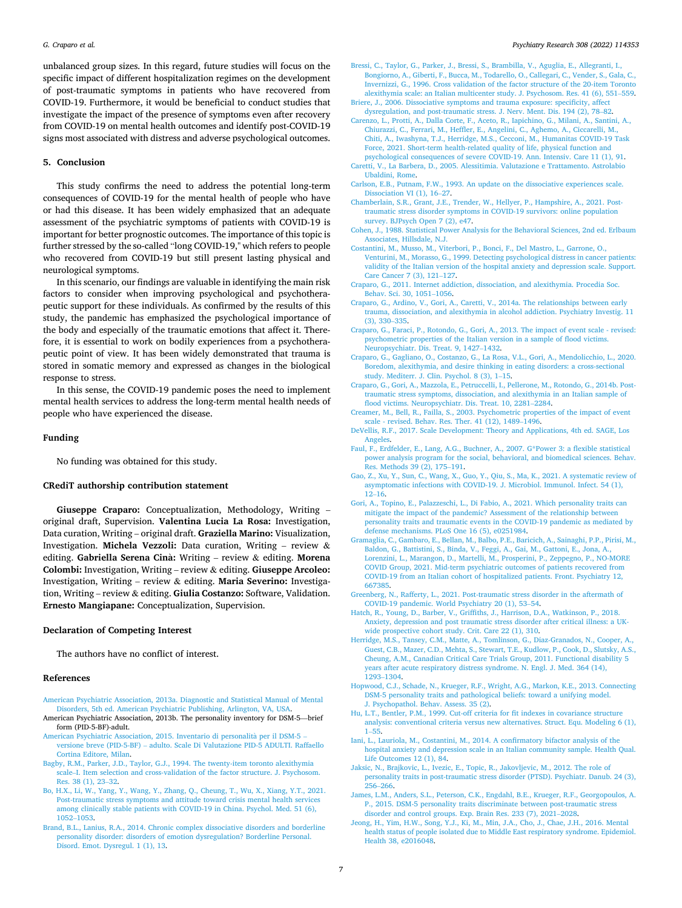<span id="page-6-0"></span>unbalanced group sizes. In this regard, future studies will focus on the specific impact of different hospitalization regimes on the development of post-traumatic symptoms in patients who have recovered from COVID-19. Furthermore, it would be beneficial to conduct studies that investigate the impact of the presence of symptoms even after recovery from COVID-19 on mental health outcomes and identify post-COVID-19 signs most associated with distress and adverse psychological outcomes.

#### **5. Conclusion**

This study confirms the need to address the potential long-term consequences of COVID-19 for the mental health of people who have or had this disease. It has been widely emphasized that an adequate assessment of the psychiatric symptoms of patients with COVID-19 is important for better prognostic outcomes. The importance of this topic is further stressed by the so-called "long COVID-19," which refers to people who recovered from COVID-19 but still present lasting physical and neurological symptoms.

In this scenario, our findings are valuable in identifying the main risk factors to consider when improving psychological and psychotherapeutic support for these individuals. As confirmed by the results of this study, the pandemic has emphasized the psychological importance of the body and especially of the traumatic emotions that affect it. Therefore, it is essential to work on bodily experiences from a psychotherapeutic point of view. It has been widely demonstrated that trauma is stored in somatic memory and expressed as changes in the biological response to stress.

In this sense, the COVID-19 pandemic poses the need to implement mental health services to address the long-term mental health needs of people who have experienced the disease.

#### **Funding**

No funding was obtained for this study.

#### **CRediT authorship contribution statement**

**Giuseppe Craparo:** Conceptualization, Methodology, Writing – original draft, Supervision. **Valentina Lucia La Rosa:** Investigation, Data curation, Writing – original draft. **Graziella Marino:** Visualization, Investigation. **Michela Vezzoli:** Data curation, Writing – review & editing. **Gabriella Serena Cina:** ` Writing – review & editing. **Morena Colombi:** Investigation, Writing – review & editing. **Giuseppe Arcoleo:**  Investigation, Writing – review & editing. **Maria Severino:** Investigation, Writing – review & editing. **Giulia Costanzo:** Software, Validation. **Ernesto Mangiapane:** Conceptualization, Supervision.

## **Declaration of Competing Interest**

The authors have no conflict of interest.

#### **References**

- [American Psychiatric Association, 2013a. Diagnostic and Statistical Manual of Mental](http://refhub.elsevier.com/S0165-1781(21)00647-8/sbref0001) [Disorders, 5th ed. American Psychiatric Publishing, Arlington, VA, USA.](http://refhub.elsevier.com/S0165-1781(21)00647-8/sbref0001)
- American Psychiatric Association, 2013b. The personality inventory for DSM-5—brief form (PID-5-BF)-adult.
- American Psychiatric Association, 2015. Inventario di personalità per il DSM-5 versione breve (PID-5-BF) – [adulto. Scale Di Valutazione PID-5 ADULTI. Raffaello](http://refhub.elsevier.com/S0165-1781(21)00647-8/sbref0003)  [Cortina Editore, Milan](http://refhub.elsevier.com/S0165-1781(21)00647-8/sbref0003).
- [Bagby, R.M., Parker, J.D., Taylor, G.J., 1994. The twenty-item toronto alexithymia](http://refhub.elsevier.com/S0165-1781(21)00647-8/sbref0004) scale–[I. Item selection and cross-validation of the factor structure. J. Psychosom.](http://refhub.elsevier.com/S0165-1781(21)00647-8/sbref0004)  [Res. 38 \(1\), 23](http://refhub.elsevier.com/S0165-1781(21)00647-8/sbref0004)–32.
- [Bo, H.X., Li, W., Yang, Y., Wang, Y., Zhang, Q., Cheung, T., Wu, X., Xiang, Y.T., 2021.](http://refhub.elsevier.com/S0165-1781(21)00647-8/sbref0005)  [Post-traumatic stress symptoms and attitude toward crisis mental health services](http://refhub.elsevier.com/S0165-1781(21)00647-8/sbref0005)  [among clinically stable patients with COVID-19 in China. Psychol. Med. 51 \(6\),](http://refhub.elsevier.com/S0165-1781(21)00647-8/sbref0005)  [1052](http://refhub.elsevier.com/S0165-1781(21)00647-8/sbref0005)–1053.
- [Brand, B.L., Lanius, R.A., 2014. Chronic complex dissociative disorders and borderline](http://refhub.elsevier.com/S0165-1781(21)00647-8/sbref0006) [personality disorder: disorders of emotion dysregulation? Borderline Personal.](http://refhub.elsevier.com/S0165-1781(21)00647-8/sbref0006) [Disord. Emot. Dysregul. 1 \(1\), 13.](http://refhub.elsevier.com/S0165-1781(21)00647-8/sbref0006)
- [Bressi, C., Taylor, G., Parker, J., Bressi, S., Brambilla, V., Aguglia, E., Allegranti, I.,](http://refhub.elsevier.com/S0165-1781(21)00647-8/sbref0007)  [Bongiorno, A., Giberti, F., Bucca, M., Todarello, O., Callegari, C., Vender, S., Gala, C.,](http://refhub.elsevier.com/S0165-1781(21)00647-8/sbref0007)  [Invernizzi, G., 1996. Cross validation of the factor structure of the 20-item Toronto](http://refhub.elsevier.com/S0165-1781(21)00647-8/sbref0007)  [alexithymia scale: an Italian multicenter study. J. Psychosom. Res. 41 \(6\), 551](http://refhub.elsevier.com/S0165-1781(21)00647-8/sbref0007)–559.
- [Briere, J., 2006. Dissociative symptoms and trauma exposure: specificity, affect](http://refhub.elsevier.com/S0165-1781(21)00647-8/sbref0008) [dysregulation, and post-traumatic stress. J. Nerv. Ment. Dis. 194 \(2\), 78](http://refhub.elsevier.com/S0165-1781(21)00647-8/sbref0008)–82.
- [Carenzo, L., Protti, A., Dalla Corte, F., Aceto, R., Iapichino, G., Milani, A., Santini, A.,](http://refhub.elsevier.com/S0165-1781(21)00647-8/sbref0009) [Chiurazzi, C., Ferrari, M., Heffler, E., Angelini, C., Aghemo, A., Ciccarelli, M.,](http://refhub.elsevier.com/S0165-1781(21)00647-8/sbref0009) [Chiti, A., Iwashyna, T.J., Herridge, M.S., Cecconi, M., Humanitas COVID-19 Task](http://refhub.elsevier.com/S0165-1781(21)00647-8/sbref0009) [Force, 2021. Short-term health-related quality of life, physical function and](http://refhub.elsevier.com/S0165-1781(21)00647-8/sbref0009) [psychological consequences of severe COVID-19. Ann. Intensiv. Care 11 \(1\), 91](http://refhub.elsevier.com/S0165-1781(21)00647-8/sbref0009).
- [Caretti, V., La Barbera, D., 2005. Alessitimia. Valutazione e Trattamento. Astrolabio](http://refhub.elsevier.com/S0165-1781(21)00647-8/sbref0010) [Ubaldini, Rome.](http://refhub.elsevier.com/S0165-1781(21)00647-8/sbref0010)
- [Carlson, E.B., Putnam, F.W., 1993. An update on the dissociative experiences scale.](http://refhub.elsevier.com/S0165-1781(21)00647-8/sbref0011)  [Dissociation VI \(1\), 16](http://refhub.elsevier.com/S0165-1781(21)00647-8/sbref0011)–27.
- [Chamberlain, S.R., Grant, J.E., Trender, W., Hellyer, P., Hampshire, A., 2021. Post](http://refhub.elsevier.com/S0165-1781(21)00647-8/sbref0012)[traumatic stress disorder symptoms in COVID-19 survivors: online population](http://refhub.elsevier.com/S0165-1781(21)00647-8/sbref0012)  [survey. BJPsych Open 7 \(2\), e47.](http://refhub.elsevier.com/S0165-1781(21)00647-8/sbref0012)
- [Cohen, J., 1988. Statistical Power Analysis for the Behavioral Sciences, 2nd ed. Erlbaum](http://refhub.elsevier.com/S0165-1781(21)00647-8/sbref0013)  [Associates, Hillsdale, N.J.](http://refhub.elsevier.com/S0165-1781(21)00647-8/sbref0013)
- [Costantini, M., Musso, M., Viterbori, P., Bonci, F., Del Mastro, L., Garrone, O.,](http://refhub.elsevier.com/S0165-1781(21)00647-8/sbref0014) [Venturini, M., Morasso, G., 1999. Detecting psychological distress in cancer patients:](http://refhub.elsevier.com/S0165-1781(21)00647-8/sbref0014)  [validity of the Italian version of the hospital anxiety and depression scale. Support.](http://refhub.elsevier.com/S0165-1781(21)00647-8/sbref0014)  [Care Cancer 7 \(3\), 121](http://refhub.elsevier.com/S0165-1781(21)00647-8/sbref0014)–127.
- [Craparo, G., 2011. Internet addiction, dissociation, and alexithymia. Procedia Soc.](http://refhub.elsevier.com/S0165-1781(21)00647-8/sbref0015)  [Behav. Sci. 30, 1051](http://refhub.elsevier.com/S0165-1781(21)00647-8/sbref0015)–1056.
- [Craparo, G., Ardino, V., Gori, A., Caretti, V., 2014a. The relationships between early](http://refhub.elsevier.com/S0165-1781(21)00647-8/sbref0016) [trauma, dissociation, and alexithymia in alcohol addiction. Psychiatry Investig. 11](http://refhub.elsevier.com/S0165-1781(21)00647-8/sbref0016)  [\(3\), 330](http://refhub.elsevier.com/S0165-1781(21)00647-8/sbref0016)–335.
- [Craparo, G., Faraci, P., Rotondo, G., Gori, A., 2013. The impact of event scale revised:](http://refhub.elsevier.com/S0165-1781(21)00647-8/sbref0017)  [psychometric properties of the Italian version in a sample of flood victims.](http://refhub.elsevier.com/S0165-1781(21)00647-8/sbref0017) [Neuropsychiatr. Dis. Treat. 9, 1427](http://refhub.elsevier.com/S0165-1781(21)00647-8/sbref0017)–1432.
- [Craparo, G., Gagliano, O., Costanzo, G., La Rosa, V.L., Gori, A., Mendolicchio, L., 2020.](http://refhub.elsevier.com/S0165-1781(21)00647-8/sbref0018)  [Boredom, alexithymia, and desire thinking in eating disorders: a cross-sectional](http://refhub.elsevier.com/S0165-1781(21)00647-8/sbref0018)  [study. Mediterr. J. Clin. Psychol. 8 \(3\), 1](http://refhub.elsevier.com/S0165-1781(21)00647-8/sbref0018)–15.
- [Craparo, G., Gori, A., Mazzola, E., Petruccelli, I., Pellerone, M., Rotondo, G., 2014b. Post](http://refhub.elsevier.com/S0165-1781(21)00647-8/sbref0019)[traumatic stress symptoms, dissociation, and alexithymia in an Italian sample of](http://refhub.elsevier.com/S0165-1781(21)00647-8/sbref0019)  [flood victims. Neuropsychiatr. Dis. Treat. 10, 2281](http://refhub.elsevier.com/S0165-1781(21)00647-8/sbref0019)–2284.
- [Creamer, M., Bell, R., Failla, S., 2003. Psychometric properties of the impact of event](http://refhub.elsevier.com/S0165-1781(21)00647-8/sbref0020)  [scale - revised. Behav. Res. Ther. 41 \(12\), 1489](http://refhub.elsevier.com/S0165-1781(21)00647-8/sbref0020)–1496.
- [DeVellis, R.F., 2017. Scale Development: Theory and Applications, 4th ed. SAGE, Los](http://refhub.elsevier.com/S0165-1781(21)00647-8/sbref0021)  [Angeles](http://refhub.elsevier.com/S0165-1781(21)00647-8/sbref0021).
- [Faul, F., Erdfelder, E., Lang, A.G., Buchner, A., 2007. G\\*Power 3: a flexible statistical](http://refhub.elsevier.com/S0165-1781(21)00647-8/sbref0022)  [power analysis program for the social, behavioral, and biomedical sciences. Behav.](http://refhub.elsevier.com/S0165-1781(21)00647-8/sbref0022)  [Res. Methods 39 \(2\), 175](http://refhub.elsevier.com/S0165-1781(21)00647-8/sbref0022)–191.
- [Gao, Z., Xu, Y., Sun, C., Wang, X., Guo, Y., Qiu, S., Ma, K., 2021. A systematic review of](http://refhub.elsevier.com/S0165-1781(21)00647-8/sbref0023)  [asymptomatic infections with COVID-19. J. Microbiol. Immunol. Infect. 54 \(1\),](http://refhub.elsevier.com/S0165-1781(21)00647-8/sbref0023) 12–[16](http://refhub.elsevier.com/S0165-1781(21)00647-8/sbref0023).
- [Gori, A., Topino, E., Palazzeschi, L., Di Fabio, A., 2021. Which personality traits can](http://refhub.elsevier.com/S0165-1781(21)00647-8/sbref0024)  [mitigate the impact of the pandemic? Assessment of the relationship between](http://refhub.elsevier.com/S0165-1781(21)00647-8/sbref0024) [personality traits and traumatic events in the COVID-19 pandemic as mediated by](http://refhub.elsevier.com/S0165-1781(21)00647-8/sbref0024) [defense mechanisms. PLoS One 16 \(5\), e0251984.](http://refhub.elsevier.com/S0165-1781(21)00647-8/sbref0024)
- [Gramaglia, C., Gambaro, E., Bellan, M., Balbo, P.E., Baricich, A., Sainaghi, P.P., Pirisi, M.,](http://refhub.elsevier.com/S0165-1781(21)00647-8/sbref0025)  [Baldon, G., Battistini, S., Binda, V., Feggi, A., Gai, M., Gattoni, E., Jona, A.,](http://refhub.elsevier.com/S0165-1781(21)00647-8/sbref0025) [Lorenzini, L., Marangon, D., Martelli, M., Prosperini, P., Zeppegno, P., NO-MORE](http://refhub.elsevier.com/S0165-1781(21)00647-8/sbref0025)  [COVID Group, 2021. Mid-term psychiatric outcomes of patients recovered from](http://refhub.elsevier.com/S0165-1781(21)00647-8/sbref0025)  [COVID-19 from an Italian cohort of hospitalized patients. Front. Psychiatry 12,](http://refhub.elsevier.com/S0165-1781(21)00647-8/sbref0025) [667385](http://refhub.elsevier.com/S0165-1781(21)00647-8/sbref0025).
- [Greenberg, N., Rafferty, L., 2021. Post-traumatic stress disorder in the aftermath of](http://refhub.elsevier.com/S0165-1781(21)00647-8/sbref0026) [COVID-19 pandemic. World Psychiatry 20 \(1\), 53](http://refhub.elsevier.com/S0165-1781(21)00647-8/sbref0026)–54.
- [Hatch, R., Young, D., Barber, V., Griffiths, J., Harrison, D.A., Watkinson, P., 2018.](http://refhub.elsevier.com/S0165-1781(21)00647-8/sbref0027)  [Anxiety, depression and post traumatic stress disorder after critical illness: a UK](http://refhub.elsevier.com/S0165-1781(21)00647-8/sbref0027)[wide prospective cohort study. Crit. Care 22 \(1\), 310](http://refhub.elsevier.com/S0165-1781(21)00647-8/sbref0027).
- Herridge, M.S., Tansey, C.M., Matte, A., Tomlinson, G., Diaz-Granados, N., Cooper, A. [Guest, C.B., Mazer, C.D., Mehta, S., Stewart, T.E., Kudlow, P., Cook, D., Slutsky, A.S.,](http://refhub.elsevier.com/S0165-1781(21)00647-8/sbref0028)  [Cheung, A.M., Canadian Critical Care Trials Group, 2011. Functional disability 5](http://refhub.elsevier.com/S0165-1781(21)00647-8/sbref0028) [years after acute respiratory distress syndrome. N. Engl. J. Med. 364 \(14\),](http://refhub.elsevier.com/S0165-1781(21)00647-8/sbref0028) [1293](http://refhub.elsevier.com/S0165-1781(21)00647-8/sbref0028)–1304.
- [Hopwood, C.J., Schade, N., Krueger, R.F., Wright, A.G., Markon, K.E., 2013. Connecting](http://refhub.elsevier.com/S0165-1781(21)00647-8/sbref0029)  [DSM-5 personality traits and pathological beliefs: toward a unifying model.](http://refhub.elsevier.com/S0165-1781(21)00647-8/sbref0029)  [J. Psychopathol. Behav. Assess. 35 \(2\).](http://refhub.elsevier.com/S0165-1781(21)00647-8/sbref0029)
- [Hu, L.T., Bentler, P.M., 1999. Cut-off criteria for fit indexes in covariance structure](http://refhub.elsevier.com/S0165-1781(21)00647-8/sbref0030) [analysis: conventional criteria versus new alternatives. Struct. Equ. Modeling 6 \(1\),](http://refhub.elsevier.com/S0165-1781(21)00647-8/sbref0030)  1–[55.](http://refhub.elsevier.com/S0165-1781(21)00647-8/sbref0030)
- [Iani, L., Lauriola, M., Costantini, M., 2014. A confirmatory bifactor analysis of the](http://refhub.elsevier.com/S0165-1781(21)00647-8/sbref0031)  [hospital anxiety and depression scale in an Italian community sample. Health Qual.](http://refhub.elsevier.com/S0165-1781(21)00647-8/sbref0031)  [Life Outcomes 12 \(1\), 84](http://refhub.elsevier.com/S0165-1781(21)00647-8/sbref0031).
- [Jaksic, N., Brajkovic, L., Ivezic, E., Topic, R., Jakovljevic, M., 2012. The role of](http://refhub.elsevier.com/S0165-1781(21)00647-8/sbref0032) [personality traits in post-traumatic stress disorder \(PTSD\). Psychiatr. Danub. 24 \(3\),](http://refhub.elsevier.com/S0165-1781(21)00647-8/sbref0032)  256–[266](http://refhub.elsevier.com/S0165-1781(21)00647-8/sbref0032).
- [James, L.M., Anders, S.L., Peterson, C.K., Engdahl, B.E., Krueger, R.F., Georgopoulos, A.](http://refhub.elsevier.com/S0165-1781(21)00647-8/sbref0033)  [P., 2015. DSM-5 personality traits discriminate between post-traumatic stress](http://refhub.elsevier.com/S0165-1781(21)00647-8/sbref0033) [disorder and control groups. Exp. Brain Res. 233 \(7\), 2021](http://refhub.elsevier.com/S0165-1781(21)00647-8/sbref0033)–2028.
- [Jeong, H., Yim, H.W., Song, Y.J., Ki, M., Min, J.A., Cho, J., Chae, J.H., 2016. Mental](http://refhub.elsevier.com/S0165-1781(21)00647-8/sbref0034) [health status of people isolated due to Middle East respiratory syndrome. Epidemiol.](http://refhub.elsevier.com/S0165-1781(21)00647-8/sbref0034)  [Health 38, e2016048.](http://refhub.elsevier.com/S0165-1781(21)00647-8/sbref0034)